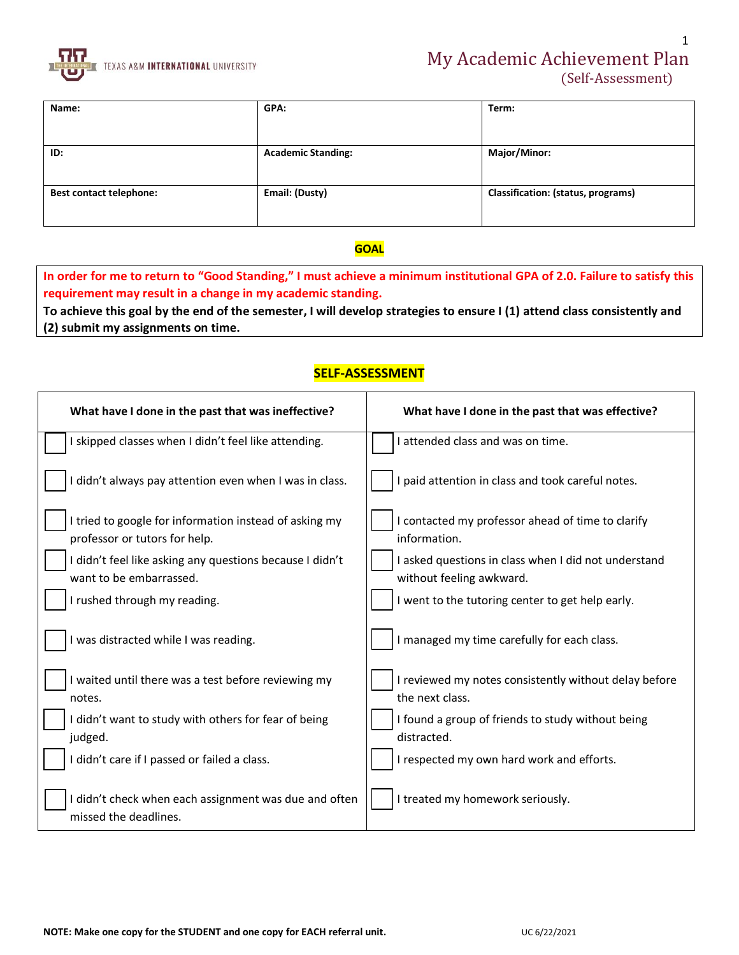

| Name:                          | GPA:                      | Term:                                     |
|--------------------------------|---------------------------|-------------------------------------------|
|                                |                           |                                           |
| ID:                            | <b>Academic Standing:</b> | Major/Minor:                              |
| <b>Best contact telephone:</b> | Email: (Dusty)            | <b>Classification: (status, programs)</b> |

#### **GOAL**

**In order for me to return to "Good Standing," I must achieve a minimum institutional GPA of 2.0. Failure to satisfy this requirement may result in a change in my academic standing.** 

**To achieve this goal by the end of the semester, I will develop strategies to ensure I (1) attend class consistently and (2) submit my assignments on time.**

### **SELF-ASSESSMENT**

| What have I done in the past that was ineffective?                                      | What have I done in the past that was effective?                                 |  |  |  |
|-----------------------------------------------------------------------------------------|----------------------------------------------------------------------------------|--|--|--|
| skipped classes when I didn't feel like attending.                                      | I attended class and was on time.                                                |  |  |  |
| I didn't always pay attention even when I was in class.                                 | I paid attention in class and took careful notes.                                |  |  |  |
| I tried to google for information instead of asking my<br>professor or tutors for help. | I contacted my professor ahead of time to clarify<br>information.                |  |  |  |
| I didn't feel like asking any questions because I didn't<br>want to be embarrassed.     | I asked questions in class when I did not understand<br>without feeling awkward. |  |  |  |
| I rushed through my reading.                                                            | I went to the tutoring center to get help early.                                 |  |  |  |
| I was distracted while I was reading.                                                   | I managed my time carefully for each class.                                      |  |  |  |
| I waited until there was a test before reviewing my<br>notes.                           | I reviewed my notes consistently without delay before<br>the next class.         |  |  |  |
| I didn't want to study with others for fear of being<br>judged.                         | I found a group of friends to study without being<br>distracted.                 |  |  |  |
| I didn't care if I passed or failed a class.                                            | I respected my own hard work and efforts.                                        |  |  |  |
| I didn't check when each assignment was due and often<br>missed the deadlines.          | I treated my homework seriously.                                                 |  |  |  |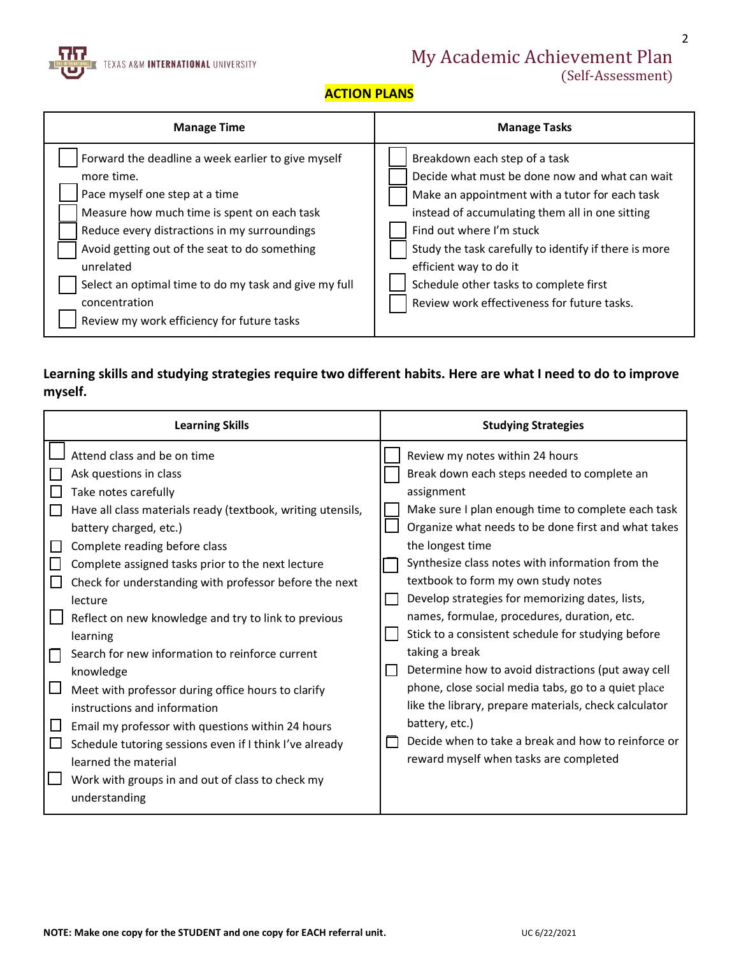

# My Academic Achievement Plan

(Self-Assessment)

2

## **ACTION PLANS**

| <b>Manage Time</b>                                                                                                                                                                                                                                                                                                                                                                      | <b>Manage Tasks</b>                                                                                                                                                                                                                                                                                                                                                                          |  |  |
|-----------------------------------------------------------------------------------------------------------------------------------------------------------------------------------------------------------------------------------------------------------------------------------------------------------------------------------------------------------------------------------------|----------------------------------------------------------------------------------------------------------------------------------------------------------------------------------------------------------------------------------------------------------------------------------------------------------------------------------------------------------------------------------------------|--|--|
| Forward the deadline a week earlier to give myself<br>more time.<br>Pace myself one step at a time<br>Measure how much time is spent on each task<br>Reduce every distractions in my surroundings<br>Avoid getting out of the seat to do something<br>unrelated<br>Select an optimal time to do my task and give my full<br>concentration<br>Review my work efficiency for future tasks | Breakdown each step of a task<br>Decide what must be done now and what can wait<br>Make an appointment with a tutor for each task<br>instead of accumulating them all in one sitting<br>Find out where I'm stuck<br>Study the task carefully to identify if there is more<br>efficient way to do it<br>Schedule other tasks to complete first<br>Review work effectiveness for future tasks. |  |  |

## **Learning skills and studying strategies require two different habits. Here are what I need to do to improve myself.**

| <b>Learning Skills</b>                                                                                                                                                                                                                                                                                                                                                                                                                                                                                                                                                                                                                                                                                                                                                   | <b>Studying Strategies</b>                                                                                                                                                                                                                                                                                                                                                                                                                                                                                                                                                                                                                                                                                                                                                                  |  |  |
|--------------------------------------------------------------------------------------------------------------------------------------------------------------------------------------------------------------------------------------------------------------------------------------------------------------------------------------------------------------------------------------------------------------------------------------------------------------------------------------------------------------------------------------------------------------------------------------------------------------------------------------------------------------------------------------------------------------------------------------------------------------------------|---------------------------------------------------------------------------------------------------------------------------------------------------------------------------------------------------------------------------------------------------------------------------------------------------------------------------------------------------------------------------------------------------------------------------------------------------------------------------------------------------------------------------------------------------------------------------------------------------------------------------------------------------------------------------------------------------------------------------------------------------------------------------------------------|--|--|
| Attend class and be on time<br>Ask questions in class<br>Take notes carefully<br>Have all class materials ready (textbook, writing utensils,<br>battery charged, etc.)<br>Complete reading before class<br>Complete assigned tasks prior to the next lecture<br>Check for understanding with professor before the next<br>lecture<br>Reflect on new knowledge and try to link to previous<br>learning<br>Search for new information to reinforce current<br>knowledge<br>Meet with professor during office hours to clarify<br>instructions and information<br>Email my professor with questions within 24 hours<br>Schedule tutoring sessions even if I think I've already<br>learned the material<br>Work with groups in and out of class to check my<br>understanding | Review my notes within 24 hours<br>Break down each steps needed to complete an<br>assignment<br>Make sure I plan enough time to complete each task<br>Organize what needs to be done first and what takes<br>the longest time<br>Synthesize class notes with information from the<br>textbook to form my own study notes<br>Develop strategies for memorizing dates, lists,<br>names, formulae, procedures, duration, etc.<br>Stick to a consistent schedule for studying before<br>taking a break<br>Determine how to avoid distractions (put away cell<br>phone, close social media tabs, go to a quiet place<br>like the library, prepare materials, check calculator<br>battery, etc.)<br>Decide when to take a break and how to reinforce or<br>reward myself when tasks are completed |  |  |
|                                                                                                                                                                                                                                                                                                                                                                                                                                                                                                                                                                                                                                                                                                                                                                          |                                                                                                                                                                                                                                                                                                                                                                                                                                                                                                                                                                                                                                                                                                                                                                                             |  |  |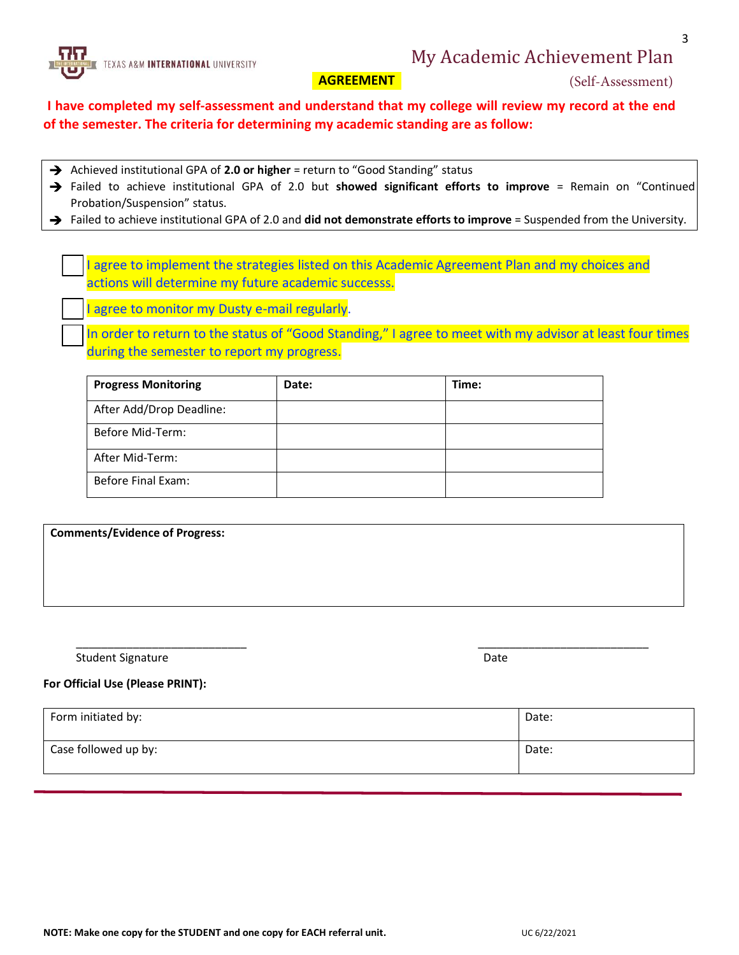## My Academic Achievement Plan



## **AGREEMENT**

(Self-Assessment)

3

**I have completed my self-assessment and understand that my college will review my record at the end of the semester. The criteria for determining my academic standing are as follow:** 

- → Achieved institutional GPA of 2.0 or higher = return to "Good Standing" status
- Failed to achieve institutional GPA of 2.0 but **showed significant efforts to improve** = Remain on "Continued Probation/Suspension" status.
- Failed to achieve institutional GPA of 2.0 and **did not demonstrate efforts to improve** = Suspended from the University.

I agree to implement the strategies listed on this Academic Agreement Plan and my choices and actions will determine my future academic successs.

I agree to monitor my Dusty e-mail regularly.

In order to return to the status of "Good Standing," I agree to meet with my advisor at least four times during the semester to report my progress.

| <b>Progress Monitoring</b> | Date: | Time: |
|----------------------------|-------|-------|
| After Add/Drop Deadline:   |       |       |
| Before Mid-Term:           |       |       |
| After Mid-Term:            |       |       |
| Before Final Exam:         |       |       |

| <b>Comments/Evidence of Progress:</b> |  |  |
|---------------------------------------|--|--|
|                                       |  |  |
|                                       |  |  |
|                                       |  |  |

\_\_\_\_\_\_\_\_\_\_\_\_\_\_\_\_\_\_\_\_\_\_\_\_\_\_\_ \_\_\_\_\_\_\_\_\_\_\_\_\_\_\_\_\_\_\_\_\_\_\_\_\_\_\_

Student Signature Date Communications and the Date Date Date Date Date Date

#### **For Official Use (Please PRINT):**

| Form initiated by:   | Date: |
|----------------------|-------|
| Case followed up by: | Date: |